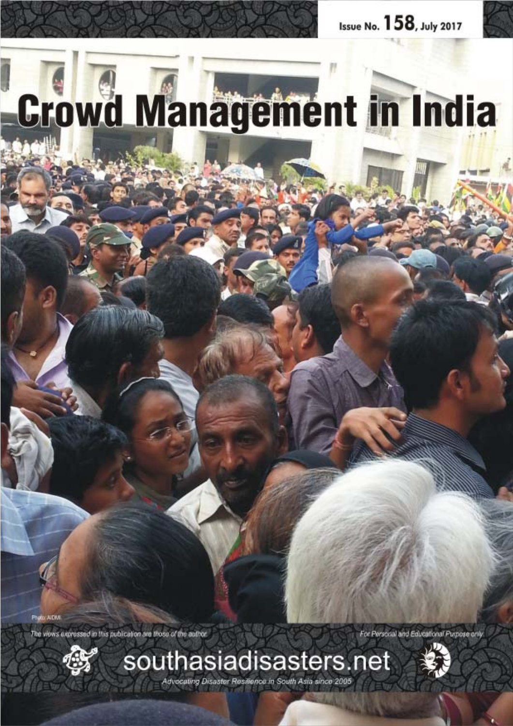# Crowd Management in India

Photo: A DM

The views expressed in this publication are those of the author.

For Personal and Educational Purpose only





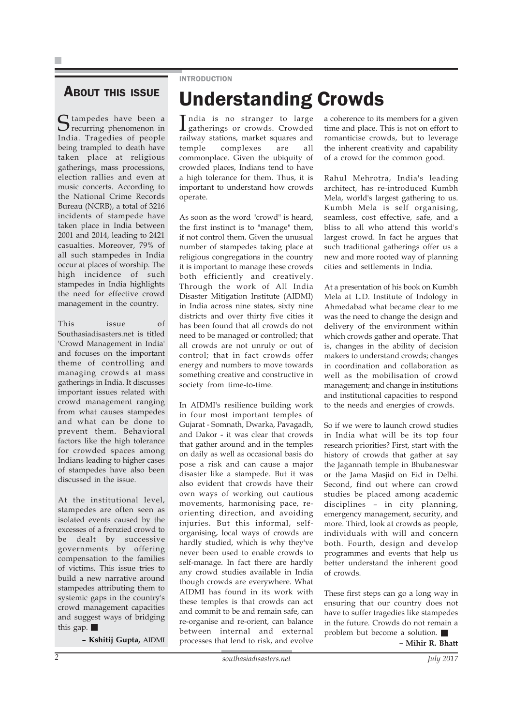### ABOUT THIS ISSUE

Stampedes have been a India. Tragedies of people being trampled to death have taken place at religious gatherings, mass processions, election rallies and even at music concerts. According to the National Crime Records Bureau (NCRB), a total of 3216 incidents of stampede have taken place in India between 2001 and 2014, leading to 2421 casualties. Moreover, 79% of all such stampedes in India occur at places of worship. The high incidence of such stampedes in India highlights the need for effective crowd management in the country.

This issue of Southasiadisasters.net is titled 'Crowd Management in India' and focuses on the important theme of controlling and managing crowds at mass gatherings in India. It discusses important issues related with crowd management ranging from what causes stampedes and what can be done to prevent them. Behavioral factors like the high tolerance for crowded spaces among Indians leading to higher cases of stampedes have also been discussed in the issue.

At the institutional level, stampedes are often seen as isolated events caused by the excesses of a frenzied crowd to be dealt by successive governments by offering compensation to the families of victims. This issue tries to build a new narrative around stampedes attributing them to systemic gaps in the country's crowd management capacities and suggest ways of bridging this gap.

**– Kshitij Gupta,** AIDMI

### INTRODUCTION

### Understanding Crowds

India is no stranger to large<br>gatherings or crowds. Crowded gatherings or crowds. Crowded railway stations, market squares and temple complexes are all commonplace. Given the ubiquity of crowded places, Indians tend to have a high tolerance for them. Thus, it is important to understand how crowds operate.

As soon as the word "crowd" is heard, the first instinct is to "manage" them, if not control them. Given the unusual number of stampedes taking place at religious congregations in the country it is important to manage these crowds both efficiently and creatively. Through the work of All India Disaster Mitigation Institute (AIDMI) in India across nine states, sixty nine districts and over thirty five cities it has been found that all crowds do not need to be managed or controlled; that all crowds are not unruly or out of control; that in fact crowds offer energy and numbers to move towards something creative and constructive in society from time-to-time.

In AIDMI's resilience building work in four most important temples of Gujarat - Somnath, Dwarka, Pavagadh, and Dakor - it was clear that crowds that gather around and in the temples on daily as well as occasional basis do pose a risk and can cause a major disaster like a stampede. But it was also evident that crowds have their own ways of working out cautious movements, harmonising pace, reorienting direction, and avoiding injuries. But this informal, selforganising, local ways of crowds are hardly studied, which is why they've never been used to enable crowds to self-manage. In fact there are hardly any crowd studies available in India though crowds are everywhere. What AIDMI has found in its work with these temples is that crowds can act and commit to be and remain safe, can re-organise and re-orient, can balance between internal and external processes that lend to risk, and evolve

a coherence to its members for a given time and place. This is not on effort to romanticise crowds, but to leverage the inherent creativity and capability of a crowd for the common good.

Rahul Mehrotra, India's leading architect, has re-introduced Kumbh Mela, world's largest gathering to us. Kumbh Mela is self organising, seamless, cost effective, safe, and a bliss to all who attend this world's largest crowd. In fact he argues that such traditional gatherings offer us a new and more rooted way of planning cities and settlements in India.

At a presentation of his book on Kumbh Mela at L.D. Institute of Indology in Ahmedabad what became clear to me was the need to change the design and delivery of the environment within which crowds gather and operate. That is, changes in the ability of decision makers to understand crowds; changes in coordination and collaboration as well as the mobilisation of crowd management; and change in institutions and institutional capacities to respond to the needs and energies of crowds.

So if we were to launch crowd studies in India what will be its top four research priorities? First, start with the history of crowds that gather at say the Jagannath temple in Bhubaneswar or the Jama Masjid on Eid in Delhi. Second, find out where can crowd studies be placed among academic disciplines – in city planning, emergency management, security, and more. Third, look at crowds as people, individuals with will and concern both. Fourth, design and develop programmes and events that help us better understand the inherent good of crowds.

These first steps can go a long way in ensuring that our country does not have to suffer tragedies like stampedes in the future. Crowds do not remain a problem but become a solution.

**– Mihir R. Bhatt**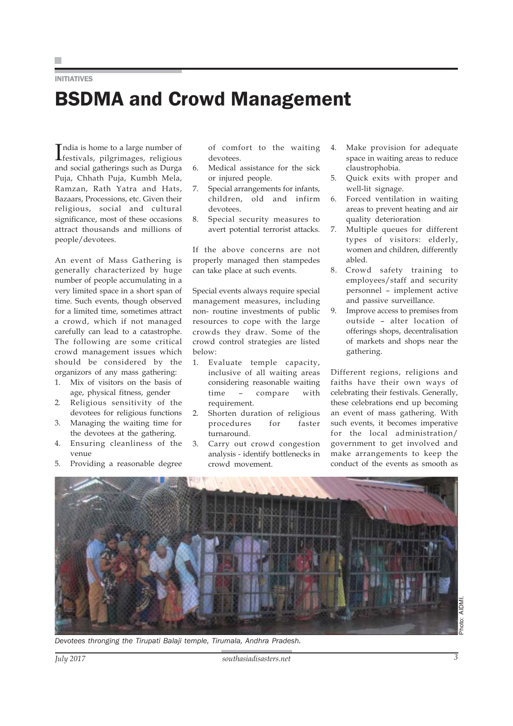### INITIATIVES

### BSDMA and Crowd Management

India is home to a large number of<br>
festivals, pilgrimages, religious India is home to a large number of and social gatherings such as Durga Puja, Chhath Puja, Kumbh Mela, Ramzan, Rath Yatra and Hats, Bazaars, Processions, etc. Given their religious, social and cultural significance, most of these occasions attract thousands and millions of people/devotees.

An event of Mass Gathering is generally characterized by huge number of people accumulating in a very limited space in a short span of time. Such events, though observed for a limited time, sometimes attract a crowd, which if not managed carefully can lead to a catastrophe. The following are some critical crowd management issues which should be considered by the organizors of any mass gathering:

- 1. Mix of visitors on the basis of age, physical fitness, gender
- 2. Religious sensitivity of the devotees for religious functions
- 3. Managing the waiting time for the devotees at the gathering.
- 4. Ensuring cleanliness of the venue
- 5. Providing a reasonable degree

of comfort to the waiting devotees.

- 6. Medical assistance for the sick or injured people.
- 7. Special arrangements for infants, children, old and infirm devotees.
- 8. Special security measures to avert potential terrorist attacks.

If the above concerns are not properly managed then stampedes can take place at such events.

Special events always require special management measures, including non- routine investments of public resources to cope with the large crowds they draw. Some of the crowd control strategies are listed below:

- 1. Evaluate temple capacity, inclusive of all waiting areas considering reasonable waiting time – compare with requirement.
- 2. Shorten duration of religious procedures for faster turnaround.
- 3. Carry out crowd congestion analysis - identify bottlenecks in crowd movement.
- 4. Make provision for adequate space in waiting areas to reduce claustrophobia.
- 5. Quick exits with proper and well-lit signage.
- 6. Forced ventilation in waiting areas to prevent heating and air quality deterioration
- 7. Multiple queues for different types of visitors: elderly, women and children, differently abled.
- 8. Crowd safety training to employees/staff and security personnel – implement active and passive surveillance.
- 9. Improve access to premises from outside – alter location of offerings shops, decentralisation of markets and shops near the gathering.

Different regions, religions and faiths have their own ways of celebrating their festivals. Generally, these celebrations end up becoming an event of mass gathering. With such events, it becomes imperative for the local administration/ government to get involved and make arrangements to keep the conduct of the events as smooth as



*Devotees thronging the Tirupati Balaji temple, Tirumala, Andhra Pradesh.*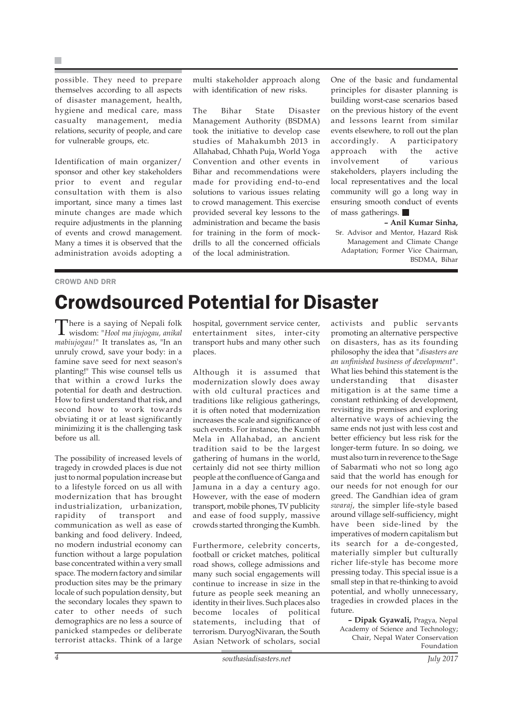possible. They need to prepare themselves according to all aspects of disaster management, health, hygiene and medical care, mass casualty management, media relations, security of people, and care for vulnerable groups, etc.

Identification of main organizer/ sponsor and other key stakeholders prior to event and regular consultation with them is also important, since many a times last minute changes are made which require adjustments in the planning of events and crowd management. Many a times it is observed that the administration avoids adopting a

### CROWD AND DRR

multi stakeholder approach along with identification of new risks.

The Bihar State Disaster Management Authority (BSDMA) took the initiative to develop case studies of Mahakumbh 2013 in Allahabad, Chhath Puja, World Yoga Convention and other events in Bihar and recommendations were made for providing end-to-end solutions to various issues relating to crowd management. This exercise provided several key lessons to the administration and became the basis for training in the form of mockdrills to all the concerned officials of the local administration.

One of the basic and fundamental principles for disaster planning is building worst-case scenarios based on the previous history of the event and lessons learnt from similar events elsewhere, to roll out the plan<br>accordingly. A participatory accordingly. A approach with the active involvement of various stakeholders, players including the local representatives and the local community will go a long way in ensuring smooth conduct of events of mass gatherings.

**– Anil Kumar Sinha,** Sr. Advisor and Mentor, Hazard Risk Management and Climate Change Adaptation; Former Vice Chairman, BSDMA, Bihar

### Crowdsourced Potential for Disaster

There is a saying of Nepali folk wisdom: *"Hool ma jiujogau, anikal mabiujogau!"* It translates as, "In an unruly crowd, save your body: in a famine save seed for next season's planting!" This wise counsel tells us that within a crowd lurks the potential for death and destruction. How to first understand that risk, and second how to work towards obviating it or at least significantly minimizing it is the challenging task before us all.

The possibility of increased levels of tragedy in crowded places is due not just to normal population increase but to a lifestyle forced on us all with modernization that has brought industrialization, urbanization, rapidity of transport and communication as well as ease of banking and food delivery. Indeed, no modern industrial economy can function without a large population base concentrated within a very small space. The modern factory and similar production sites may be the primary locale of such population density, but the secondary locales they spawn to cater to other needs of such demographics are no less a source of panicked stampedes or deliberate terrorist attacks. Think of a large

hospital, government service center, entertainment sites, inter-city transport hubs and many other such places.

Although it is assumed that modernization slowly does away with old cultural practices and traditions like religious gatherings, it is often noted that modernization increases the scale and significance of such events. For instance, the Kumbh Mela in Allahabad, an ancient tradition said to be the largest gathering of humans in the world, certainly did not see thirty million people at the confluence of Ganga and Jamuna in a day a century ago. However, with the ease of modern transport, mobile phones, TV publicity and ease of food supply, massive crowds started thronging the Kumbh.

Furthermore, celebrity concerts, football or cricket matches, political road shows, college admissions and many such social engagements will continue to increase in size in the future as people seek meaning an identity in their lives. Such places also become locales of political statements, including that of terrorism. DuryogNivaran, the South Asian Network of scholars, social

activists and public servants promoting an alternative perspective on disasters, has as its founding philosophy the idea that *"disasters are an unfinished business of development"*. What lies behind this statement is the understanding that disaster mitigation is at the same time a constant rethinking of development, revisiting its premises and exploring alternative ways of achieving the same ends not just with less cost and better efficiency but less risk for the longer-term future. In so doing, we must also turn in reverence to the Sage of Sabarmati who not so long ago said that the world has enough for our needs for not enough for our greed. The Gandhian idea of gram *swaraj*, the simpler life-style based around village self-sufficiency, might have been side-lined by the imperatives of modern capitalism but its search for a de-congested, materially simpler but culturally richer life-style has become more pressing today. This special issue is a small step in that re-thinking to avoid potential, and wholly unnecessary, tragedies in crowded places in the future.

**– Dipak Gyawali,** Pragya, Nepal Academy of Science and Technology; Chair, Nepal Water Conservation Foundation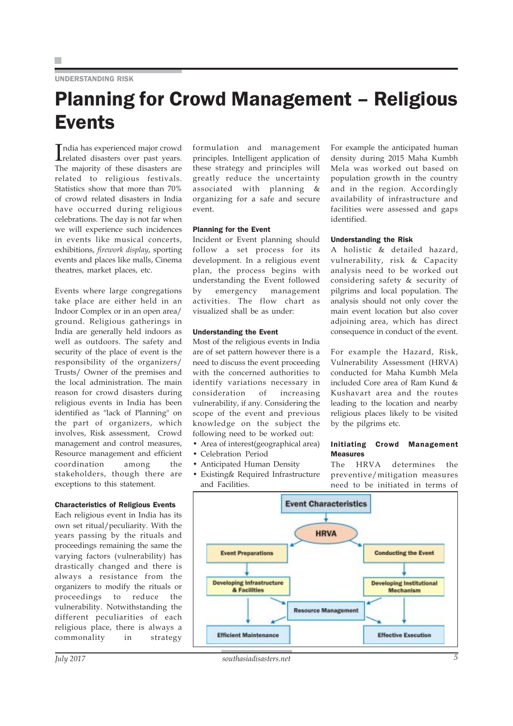### UNDERSTANDING RISK

### Planning for Crowd Management – Religious Events

India has experienced major crowd<br>related disasters over past years. related disasters over past years. The majority of these disasters are related to religious festivals. Statistics show that more than 70% of crowd related disasters in India have occurred during religious celebrations. The day is not far when we will experience such incidences in events like musical concerts, exhibitions, *firework display*, sporting events and places like malls, Cinema theatres, market places, etc.

Events where large congregations take place are either held in an Indoor Complex or in an open area/ ground. Religious gatherings in India are generally held indoors as well as outdoors. The safety and security of the place of event is the responsibility of the organizers/ Trusts/ Owner of the premises and the local administration. The main reason for crowd disasters during religious events in India has been identified as "lack of Planning" on the part of organizers, which involves, Risk assessment, Crowd management and control measures, Resource management and efficient coordination among the stakeholders, though there are exceptions to this statement.

#### Characteristics of Religious Events

Each religious event in India has its own set ritual/peculiarity. With the years passing by the rituals and proceedings remaining the same the varying factors (vulnerability) has drastically changed and there is always a resistance from the organizers to modify the rituals or proceedings to reduce the vulnerability. Notwithstanding the different peculiarities of each religious place, there is always a commonality in strategy formulation and management principles. Intelligent application of these strategy and principles will greatly reduce the uncertainty associated with planning & organizing for a safe and secure event.

#### Planning for the Event

Incident or Event planning should follow a set process for its development. In a religious event plan, the process begins with understanding the Event followed by emergency management activities. The flow chart as visualized shall be as under:

### Understanding the Event

Most of the religious events in India are of set pattern however there is a need to discuss the event proceeding with the concerned authorities to identify variations necessary in consideration of increasing vulnerability, if any. Considering the scope of the event and previous knowledge on the subject the following need to be worked out:

- Area of interest(geographical area)
- Celebration Period
- Anticipated Human Density
- Existing& Required Infrastructure and Facilities.

For example the anticipated human density during 2015 Maha Kumbh Mela was worked out based on population growth in the country and in the region. Accordingly availability of infrastructure and facilities were assessed and gaps identified.

#### Understanding the Risk

A holistic & detailed hazard, vulnerability, risk & Capacity analysis need to be worked out considering safety & security of pilgrims and local population. The analysis should not only cover the main event location but also cover adjoining area, which has direct consequence in conduct of the event.

For example the Hazard, Risk, Vulnerability Assessment (HRVA) conducted for Maha Kumbh Mela included Core area of Ram Kund & Kushavart area and the routes leading to the location and nearby religious places likely to be visited by the pilgrims etc.

### Initiating Crowd Management Measures

The HRVA determines the preventive/mitigation measures need to be initiated in terms of

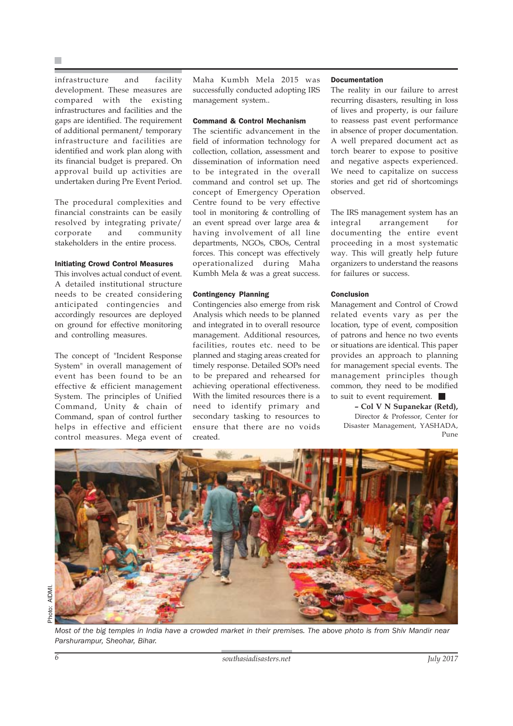infrastructure and facility development. These measures are compared with the existing infrastructures and facilities and the gaps are identified. The requirement of additional permanent/ temporary infrastructure and facilities are identified and work plan along with its financial budget is prepared. On approval build up activities are undertaken during Pre Event Period.

The procedural complexities and financial constraints can be easily resolved by integrating private/ corporate and community stakeholders in the entire process.

### Initiating Crowd Control Measures

This involves actual conduct of event. A detailed institutional structure needs to be created considering anticipated contingencies and accordingly resources are deployed on ground for effective monitoring and controlling measures.

The concept of "Incident Response System" in overall management of event has been found to be an effective & efficient management System. The principles of Unified Command, Unity & chain of Command, span of control further helps in effective and efficient control measures. Mega event of Maha Kumbh Mela 2015 was successfully conducted adopting IRS management system..

### Command & Control Mechanism

The scientific advancement in the field of information technology for collection, collation, assessment and dissemination of information need to be integrated in the overall command and control set up. The concept of Emergency Operation Centre found to be very effective tool in monitoring & controlling of an event spread over large area & having involvement of all line departments, NGOs, CBOs, Central forces. This concept was effectively operationalized during Maha Kumbh Mela & was a great success.

#### Contingency Planning

Contingencies also emerge from risk Analysis which needs to be planned and integrated in to overall resource management. Additional resources, facilities, routes etc. need to be planned and staging areas created for timely response. Detailed SOPs need to be prepared and rehearsed for achieving operational effectiveness. With the limited resources there is a need to identify primary and secondary tasking to resources to ensure that there are no voids created.

### Documentation

The reality in our failure to arrest recurring disasters, resulting in loss of lives and property, is our failure to reassess past event performance in absence of proper documentation. A well prepared document act as torch bearer to expose to positive and negative aspects experienced. We need to capitalize on success stories and get rid of shortcomings observed.

The IRS management system has an integral arrangement for documenting the entire event proceeding in a most systematic way. This will greatly help future organizers to understand the reasons for failures or success.

#### Conclusion

Management and Control of Crowd related events vary as per the location, type of event, composition of patrons and hence no two events or situations are identical. This paper provides an approach to planning for management special events. The management principles though common, they need to be modified to suit to event requirement.

**– Col V N Supanekar (Retd),** Director & Professor, Center for Disaster Management, YASHADA, Pune

![](_page_5_Picture_17.jpeg)

Photo: AIDMI.

Photo: AIDMI.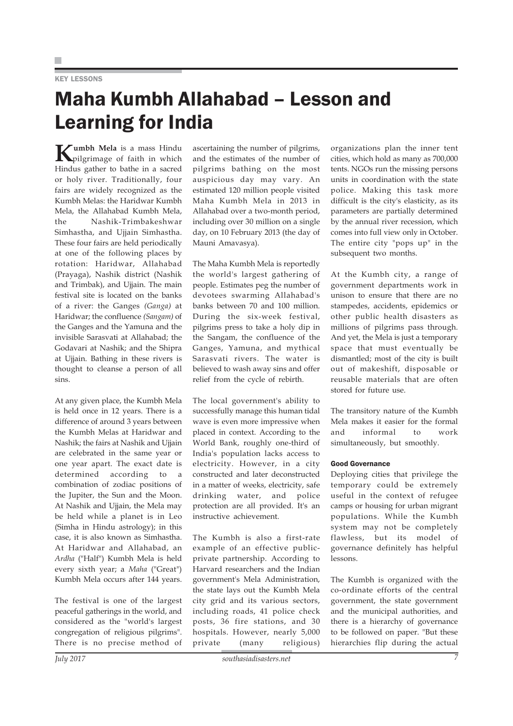### **KEY LESSONS**

### Maha Kumbh Allahabad – Lesson and Learning for India

**Kumbh Mela** is a mass Hindu<br>pilgrimage of faith in which Hindus gather to bathe in a sacred or holy river. Traditionally, four fairs are widely recognized as the Kumbh Melas: the Haridwar Kumbh Mela, the Allahabad Kumbh Mela, the Nashik-Trimbakeshwar Simhastha, and Ujjain Simhastha. These four fairs are held periodically at one of the following places by rotation: Haridwar, Allahabad (Prayaga), Nashik district (Nashik and Trimbak), and Ujjain. The main festival site is located on the banks of a river: the Ganges *(Ganga)* at Haridwar; the confluence *(Sangam)* of the Ganges and the Yamuna and the invisible Sarasvati at Allahabad; the Godavari at Nashik; and the Shipra at Ujjain. Bathing in these rivers is thought to cleanse a person of all sins.

At any given place, the Kumbh Mela is held once in 12 years. There is a difference of around 3 years between the Kumbh Melas at Haridwar and Nashik; the fairs at Nashik and Ujjain are celebrated in the same year or one year apart. The exact date is determined according to a combination of zodiac positions of the Jupiter, the Sun and the Moon. At Nashik and Ujjain, the Mela may be held while a planet is in Leo (Simha in Hindu astrology); in this case, it is also known as Simhastha. At Haridwar and Allahabad, an *Ardha* ("Half") Kumbh Mela is held every sixth year; a *Maha* ("Great") Kumbh Mela occurs after 144 years.

The festival is one of the largest peaceful gatherings in the world, and considered as the "world's largest congregation of religious pilgrims". There is no precise method of ascertaining the number of pilgrims, and the estimates of the number of pilgrims bathing on the most auspicious day may vary. An estimated 120 million people visited Maha Kumbh Mela in 2013 in Allahabad over a two-month period, including over 30 million on a single day, on 10 February 2013 (the day of Mauni Amavasya).

The Maha Kumbh Mela is reportedly the world's largest gathering of people. Estimates peg the number of devotees swarming Allahabad's banks between 70 and 100 million. During the six-week festival, pilgrims press to take a holy dip in the Sangam, the confluence of the Ganges, Yamuna, and mythical Sarasvati rivers. The water is believed to wash away sins and offer relief from the cycle of rebirth.

The local government's ability to successfully manage this human tidal wave is even more impressive when placed in context. According to the World Bank, roughly one-third of India's population lacks access to electricity. However, in a city constructed and later deconstructed in a matter of weeks, electricity, safe drinking water, and police protection are all provided. It's an instructive achievement.

The Kumbh is also a first-rate example of an effective publicprivate partnership. According to Harvard researchers and the Indian government's Mela Administration, the state lays out the Kumbh Mela city grid and its various sectors, including roads, 41 police check posts, 36 fire stations, and 30 hospitals. However, nearly 5,000 private (many religious)

organizations plan the inner tent cities, which hold as many as 700,000 tents. NGOs run the missing persons units in coordination with the state police. Making this task more difficult is the city's elasticity, as its parameters are partially determined by the annual river recession, which comes into full view only in October. The entire city "pops up" in the subsequent two months.

At the Kumbh city, a range of government departments work in unison to ensure that there are no stampedes, accidents, epidemics or other public health disasters as millions of pilgrims pass through. And yet, the Mela is just a temporary space that must eventually be dismantled; most of the city is built out of makeshift, disposable or reusable materials that are often stored for future use.

The transitory nature of the Kumbh Mela makes it easier for the formal and informal to work simultaneously, but smoothly.

### Good Governance

Deploying cities that privilege the temporary could be extremely useful in the context of refugee camps or housing for urban migrant populations. While the Kumbh system may not be completely flawless, but its model of governance definitely has helpful lessons.

The Kumbh is organized with the co-ordinate efforts of the central government, the state government and the municipal authorities, and there is a hierarchy of governance to be followed on paper. "But these hierarchies flip during the actual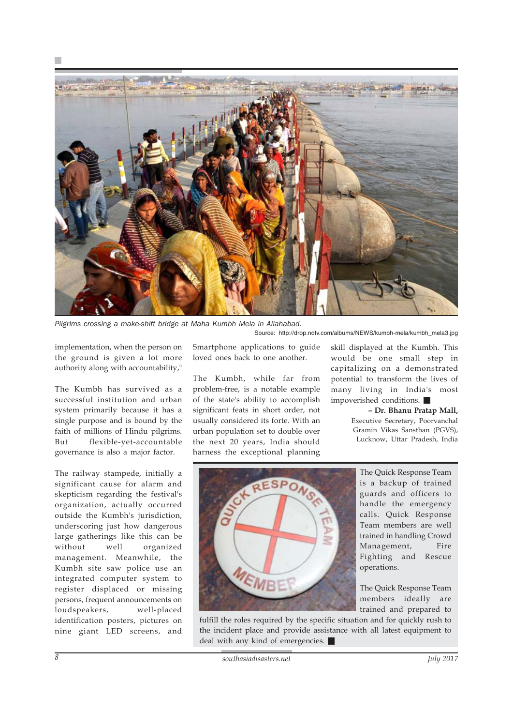![](_page_7_Picture_0.jpeg)

*Pilgrims crossing a make-shift bridge at Maha Kumbh Mela in Allahabad.*

Source: http://drop.ndtv.com/albums/NEWS/kumbh-mela/kumbh\_mela3.jpg

implementation, when the person on the ground is given a lot more authority along with accountability,"

The Kumbh has survived as a successful institution and urban system primarily because it has a single purpose and is bound by the faith of millions of Hindu pilgrims. But flexible-yet-accountable governance is also a major factor.

The railway stampede, initially a significant cause for alarm and skepticism regarding the festival's organization, actually occurred outside the Kumbh's jurisdiction, underscoring just how dangerous large gatherings like this can be without well organized management. Meanwhile, the Kumbh site saw police use an integrated computer system to register displaced or missing persons, frequent announcements on loudspeakers, well-placed identification posters, pictures on nine giant LED screens, and

Smartphone applications to guide loved ones back to one another.

The Kumbh, while far from problem-free, is a notable example of the state's ability to accomplish significant feats in short order, not usually considered its forte. With an urban population set to double over the next 20 years, India should harness the exceptional planning skill displayed at the Kumbh. This would be one small step in capitalizing on a demonstrated potential to transform the lives of many living in India's most impoverished conditions.

> **– Dr. Bhanu Pratap Mall,** Executive Secretary, Poorvanchal Gramin Vikas Sansthan (PGVS), Lucknow, Uttar Pradesh, India

![](_page_7_Picture_10.jpeg)

The Quick Response Team is a backup of trained guards and officers to handle the emergency calls. Quick Response Team members are well trained in handling Crowd Management, Fire Fighting and Rescue operations.

The Quick Response Team members ideally are trained and prepared to

fulfill the roles required by the specific situation and for quickly rush to the incident place and provide assistance with all latest equipment to deal with any kind of emergencies.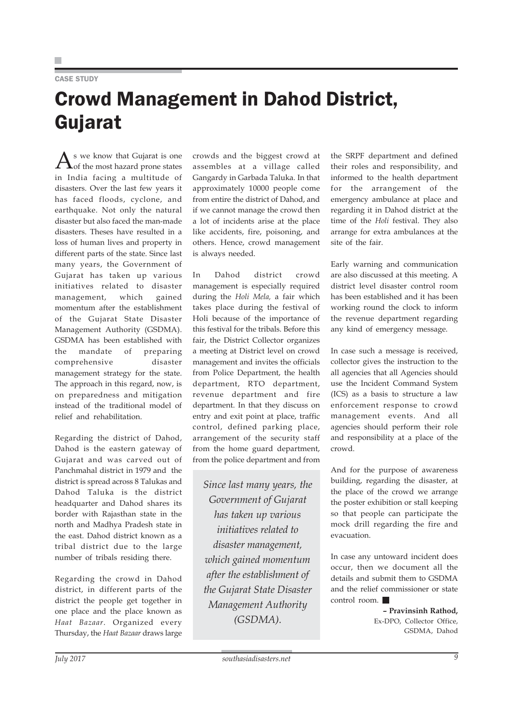### CASE STUDY

## Crowd Management in Dahod District, Gujarat

 $\bigwedge$ s we know that Gujarat is one<br>of the most hazard prone states in India facing a multitude of disasters. Over the last few years it has faced floods, cyclone, and earthquake. Not only the natural disaster but also faced the man-made disasters. Theses have resulted in a loss of human lives and property in different parts of the state. Since last many years, the Government of Gujarat has taken up various initiatives related to disaster management, which gained momentum after the establishment of the Gujarat State Disaster Management Authority (GSDMA). GSDMA has been established with the mandate of preparing comprehensive disaster management strategy for the state. The approach in this regard, now, is on preparedness and mitigation instead of the traditional model of relief and rehabilitation.

Regarding the district of Dahod, Dahod is the eastern gateway of Gujarat and was carved out of Panchmahal district in 1979 and the district is spread across 8 Talukas and Dahod Taluka is the district headquarter and Dahod shares its border with Rajasthan state in the north and Madhya Pradesh state in the east. Dahod district known as a tribal district due to the large number of tribals residing there.

Regarding the crowd in Dahod district, in different parts of the district the people get together in one place and the place known as *Haat Bazaar*. Organized every Thursday, the *Haat Bazaar* draws large crowds and the biggest crowd at assembles at a village called Gangardy in Garbada Taluka. In that approximately 10000 people come from entire the district of Dahod, and if we cannot manage the crowd then a lot of incidents arise at the place like accidents, fire, poisoning, and others. Hence, crowd management is always needed.

In Dahod district crowd management is especially required during the *Holi Mela,* a fair which takes place during the festival of Holi because of the importance of this festival for the tribals. Before this fair, the District Collector organizes a meeting at District level on crowd management and invites the officials from Police Department, the health department, RTO department, revenue department and fire department. In that they discuss on entry and exit point at place, traffic control, defined parking place, arrangement of the security staff from the home guard department, from the police department and from

*Since last many years, the Government of Gujarat has taken up various initiatives related to disaster management, which gained momentum after the establishment of the Gujarat State Disaster Management Authority (GSDMA).*

the SRPF department and defined their roles and responsibility, and informed to the health department for the arrangement of the emergency ambulance at place and regarding it in Dahod district at the time of the *Holi* festival. They also arrange for extra ambulances at the site of the fair.

Early warning and communication are also discussed at this meeting. A district level disaster control room has been established and it has been working round the clock to inform the revenue department regarding any kind of emergency message.

In case such a message is received, collector gives the instruction to the all agencies that all Agencies should use the Incident Command System (ICS) as a basis to structure a law enforcement response to crowd management events. And all agencies should perform their role and responsibility at a place of the crowd.

And for the purpose of awareness building, regarding the disaster, at the place of the crowd we arrange the poster exhibition or stall keeping so that people can participate the mock drill regarding the fire and evacuation.

In case any untoward incident does occur, then we document all the details and submit them to GSDMA and the relief commissioner or state control room.

> **– Pravinsinh Rathod,** Ex-DPO, Collector Office, GSDMA, Dahod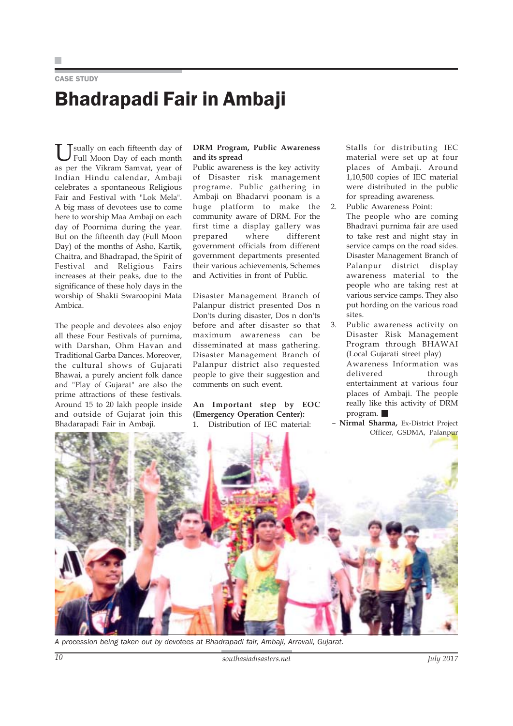### CASE STUDY

# Bhadrapadi Fair in Ambaji

U sually on each fifteenth day of<br>Full Moon Day of each month as per the Vikram Samvat, year of Indian Hindu calendar, Ambaji celebrates a spontaneous Religious Fair and Festival with "Lok Mela". A big mass of devotees use to come here to worship Maa Ambaji on each day of Poornima during the year. But on the fifteenth day (Full Moon Day) of the months of Asho, Kartik, Chaitra, and Bhadrapad, the Spirit of Festival and Religious Fairs increases at their peaks, due to the significance of these holy days in the worship of Shakti Swaroopini Mata Ambica.

The people and devotees also enjoy all these Four Festivals of purnima, with Darshan, Ohm Havan and Traditional Garba Dances. Moreover, the cultural shows of Gujarati Bhawai, a purely ancient folk dance and "Play of Gujarat" are also the prime attractions of these festivals. Around 15 to 20 lakh people inside and outside of Gujarat join this Bhadarapadi Fair in Ambaji.

### **DRM Program, Public Awareness and its spread**

Public awareness is the key activity of Disaster risk management programe. Public gathering in Ambaji on Bhadarvi poonam is a huge platform to make the community aware of DRM. For the first time a display gallery was prepared where different government officials from different government departments presented their various achievements, Schemes and Activities in front of Public.

Disaster Management Branch of Palanpur district presented Dos n Don'ts during disaster, Dos n don'ts before and after disaster so that maximum awareness can be disseminated at mass gathering. Disaster Management Branch of Palanpur district also requested people to give their suggestion and comments on such event.

**An Important step by EOC (Emergency Operation Center):** 1. Distribution of IEC material:

Stalls for distributing IEC material were set up at four places of Ambaji. Around 1,10,500 copies of IEC material were distributed in the public for spreading awareness.

- 2. Public Awareness Point: The people who are coming Bhadravi purnima fair are used to take rest and night stay in service camps on the road sides. Disaster Management Branch of Palanpur district display awareness material to the people who are taking rest at various service camps. They also put hording on the various road sites.
- 3. Public awareness activity on Disaster Risk Management Program through BHAWAI (Local Gujarati street play) Awareness Information was delivered through entertainment at various four places of Ambaji. The people really like this activity of DRM program.
- – **Nirmal Sharma,** Ex-District Project Officer, GSDMA, Palanpur

![](_page_9_Picture_13.jpeg)

*A procession being taken out by devotees at Bhadrapadi fair, Ambaji, Arravali, Gujarat.*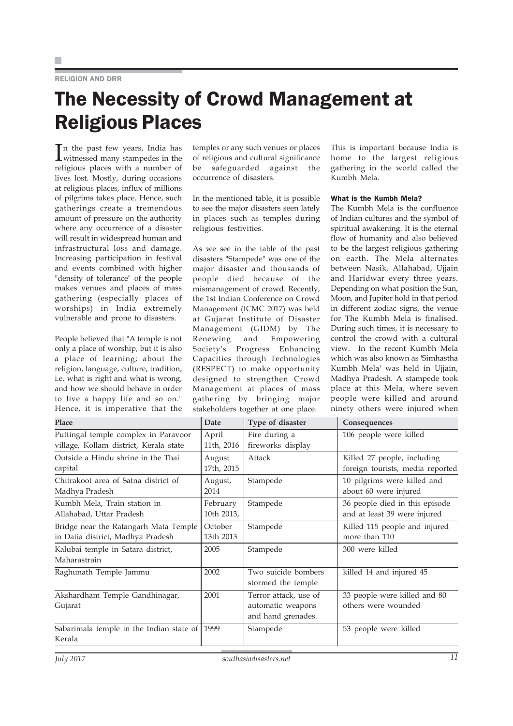### RELIGION AND DRR

### The Necessity of Crowd Management at Religious Places

In the past few years, India has<br>witnessed many stampedes in the witnessed many stampedes in the religious places with a number of lives lost. Mostly, during occasions at religious places, influx of millions of pilgrims takes place. Hence, such gatherings create a tremendous amount of pressure on the authority where any occurrence of a disaster will result in widespread human and infrastructural loss and damage. Increasing participation in festival and events combined with higher "density of tolerance" of the people makes venues and places of mass gathering (especially places of worships) in India extremely vulnerable and prone to disasters.

People believed that "A temple is not only a place of worship, but it is also a place of learning; about the religion, language, culture, tradition, i.e. what is right and what is wrong, and how we should behave in order to live a happy life and so on." Hence, it is imperative that the temples or any such venues or places of religious and cultural significance be safeguarded against the occurrence of disasters.

In the mentioned table, it is possible to see the major disasters seen lately in places such as temples during religious festivities.

As we see in the table of the past disasters "Stampede" was one of the major disaster and thousands of people died because of the mismanagement of crowd. Recently, the 1st Indian Conference on Crowd Management (ICMC 2017) was held at Gujarat Institute of Disaster Management (GIDM) by The Renewing and Empowering Society's Progress Enhancing Capacities through Technologies (RESPECT) to make opportunity designed to strengthen Crowd Management at places of mass gathering by bringing major stakeholders together at one place.

This is important because India is home to the largest religious gathering in the world called the Kumbh Mela.

### What is the Kumbh Mela?

The Kumbh Mela is the confluence of Indian cultures and the symbol of spiritual awakening. It is the eternal flow of humanity and also believed to be the largest religious gathering on earth. The Mela alternates between Nasik, Allahabad, Ujjain and Haridwar every three years. Depending on what position the Sun, Moon, and Jupiter hold in that period in different zodiac signs, the venue for The Kumbh Mela is finalised. During such times, it is necessary to control the crowd with a cultural view. In the recent Kumbh Mela which was also known as 'Simhastha Kumbh Mela' was held in Ujjain, Madhya Pradesh. A stampede took place at this Mela, where seven people were killed and around ninety others were injured when

| Place                                                   | <b>Date</b> | Type of disaster                                                 | Consequences                                        |
|---------------------------------------------------------|-------------|------------------------------------------------------------------|-----------------------------------------------------|
| Puttingal temple complex in Paravoor                    | April       | Fire during a                                                    | 106 people were killed                              |
| village, Kollam district, Kerala state                  | 11th, 2016  | fireworks display                                                |                                                     |
| Outside a Hindu shrine in the Thai                      | August      | Attack                                                           | Killed 27 people, including                         |
| capital                                                 | 17th, 2015  |                                                                  | foreign tourists, media reported                    |
| Chitrakoot area of Satna district of                    | August,     | Stampede                                                         | 10 pilgrims were killed and                         |
| Madhya Pradesh                                          | 2014        |                                                                  | about 60 were injured                               |
| Kumbh Mela, Train station in                            | February    | Stampede                                                         | 36 people died in this episode                      |
| Allahabad, Uttar Pradesh                                | 10th 2013,  |                                                                  | and at least 39 were injured                        |
| Bridge near the Ratangarh Mata Temple                   | October     | Stampede                                                         | Killed 115 people and injured                       |
| in Datia district, Madhya Pradesh                       | 13th 2013   |                                                                  | more than 110                                       |
| Kalubai temple in Satara district,<br>Maharastrain      | 2005        | Stampede                                                         | 300 were killed                                     |
| Raghunath Temple Jammu                                  | 2002        | Two suicide bombers<br>stormed the temple                        | killed 14 and injured 45                            |
| Akshardham Temple Gandhinagar,<br>Gujarat               | 2001        | Terror attack, use of<br>automatic weapons<br>and hand grenades. | 33 people were killed and 80<br>others were wounded |
| Sabarimala temple in the Indian state of 1999<br>Kerala |             | Stampede                                                         | 53 people were killed                               |